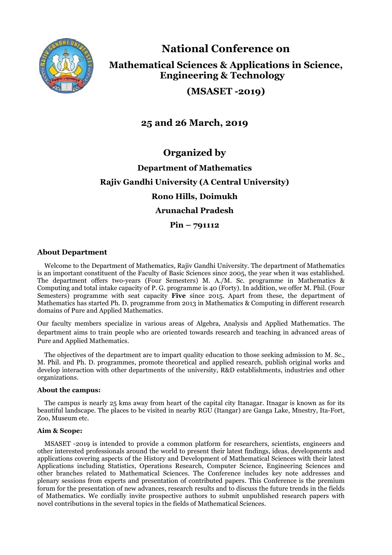

**National Conference on**

**Mathematical Sciences & Applications in Science, Engineering & Technology** 

**(MSASET -2019)** 

**25 and 26 March, 2019**

**Organized by**

# **Department of Mathematics Rajiv Gandhi University (A Central University) Rono Hills, Doimukh Arunachal Pradesh**

**Pin – 791112**

# **About Department**

Welcome to the Department of Mathematics, Rajiv Gandhi University. The department of Mathematics is an important constituent of the Faculty of Basic Sciences since 2005, the year when it was established. The department offers two-years (Four Semesters) M. A./M. Sc. programme in Mathematics & Computing and total intake capacity of P. G. programme is 40 (Forty). In addition, we offer M. Phil. (Four Semesters) programme with seat capacity **Five** since 2015. Apart from these, the department of Mathematics has started Ph. D. programme from 2013 in Mathematics & Computing in different research domains of Pure and Applied Mathematics.

Our faculty members specialize in various areas of Algebra, Analysis and Applied Mathematics. The department aims to train people who are oriented towards research and teaching in advanced areas of Pure and Applied Mathematics.

The objectives of the department are to impart quality education to those seeking admission to M. Sc., M. Phil. and Ph. D. programmes, promote theoretical and applied research, publish original works and develop interaction with other departments of the university, R&D establishments, industries and other organizations.

# **About the campus:**

The campus is nearly 25 kms away from heart of the capital city Itanagar. Itnagar is known as for its beautiful landscape. The places to be visited in nearby RGU (Itangar) are Ganga Lake, Mnestry, Ita-Fort, Zoo, Museum etc.

# **Aim & Scope:**

MSASET -2019 is intended to provide a common platform for researchers, scientists, engineers and other interested professionals around the world to present their latest findings, ideas, developments and applications covering aspects of the History and Development of Mathematical Sciences with their latest Applications including Statistics, Operations Research, Computer Science, Engineering Sciences and other branches related to Mathematical Sciences. The Conference includes key note addresses and plenary sessions from experts and presentation of contributed papers. This Conference is the premium forum for the presentation of new advances, research results and to discuss the future trends in the fields of Mathematics. We cordially invite prospective authors to submit unpublished research papers with novel contributions in the several topics in the fields of Mathematical Sciences.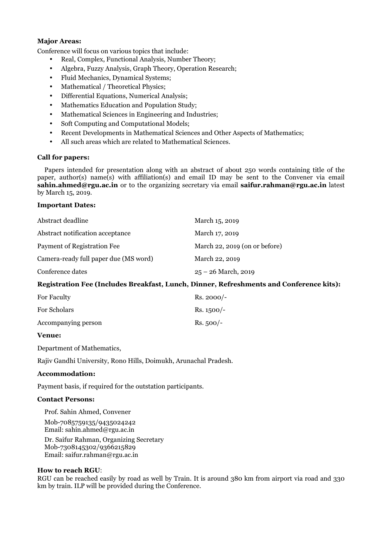#### **Major Areas:**

Conference will focus on various topics that include:

- Real, Complex, Functional Analysis, Number Theory;
- Algebra, Fuzzy Analysis, Graph Theory, Operation Research;
- Fluid Mechanics, Dynamical Systems;
- Mathematical / Theoretical Physics:
- Differential Equations, Numerical Analysis;
- Mathematics Education and Population Study;
- Mathematical Sciences in Engineering and Industries;
- Soft Computing and Computational Models;
- Recent Developments in Mathematical Sciences and Other Aspects of Mathematics;
- All such areas which are related to Mathematical Sciences.

#### **Call for papers:**

Papers intended for presentation along with an abstract of about 250 words containing title of the paper, author(s) name(s) with affiliation(s) and email ID may be sent to the Convener via email **sahin.ahmed@rgu.ac.in** or to the organizing secretary via email **saifur.rahman@rgu.ac.in** latest by March 15, 2019.

#### **Important Dates:**

| Abstract deadline                     | March 15, 2019                |
|---------------------------------------|-------------------------------|
| Abstract notification acceptance      | March 17, 2019                |
| Payment of Registration Fee           | March 22, 2019 (on or before) |
| Camera-ready full paper due (MS word) | March 22, 2019                |
| Conference dates                      | $25 - 26$ March, 2019         |

# **Registration Fee (Includes Breakfast, Lunch, Dinner, Refreshments and Conference kits):**

| For Faculty         | $Rs. 2000/-$ |
|---------------------|--------------|
| <b>For Scholars</b> | $Rs. 1500/-$ |
| Accompanying person | $Rs.500/-$   |

### **Venue:**

Department of Mathematics,

Rajiv Gandhi University, Rono Hills, Doimukh, Arunachal Pradesh.

#### **Accommodation:**

Payment basis, if required for the outstation participants.

#### **Contact Persons:**

Prof. Sahin Ahmed, Convener

Mob-7085759135/9435024242 Email: sahin.ahmed@rgu.ac.in

Dr. Saifur Rahman, Organizing Secretary Mob-7308145302/9366215829 Email: saifur.rahman@rgu.ac.in

#### **How to reach RGU**:

RGU can be reached easily by road as well by Train. It is around 380 km from airport via road and 330 km by train. ILP will be provided during the Conference.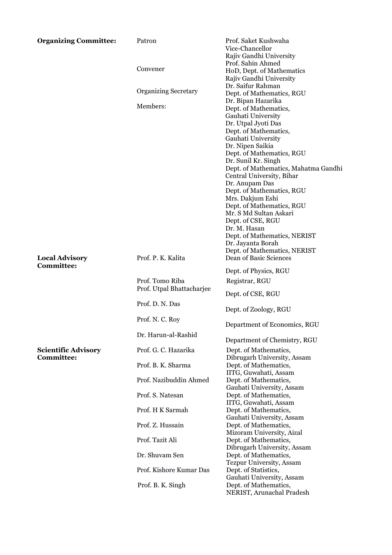| <b>Organizing Committee:</b>                    | Patron                                       | Prof. Saket Kushwaha<br>Vice-Chancellor<br>Rajiv Gandhi University                                                     |
|-------------------------------------------------|----------------------------------------------|------------------------------------------------------------------------------------------------------------------------|
|                                                 | Convener                                     | Prof. Sahin Ahmed<br>HoD, Dept. of Mathematics<br>Rajiv Gandhi University                                              |
|                                                 | <b>Organizing Secretary</b>                  | Dr. Saifur Rahman<br>Dept. of Mathematics, RGU<br>Dr. Bipan Hazarika                                                   |
|                                                 | Members:                                     | Dept. of Mathematics,<br>Gauhati University<br>Dr. Utpal Jyoti Das                                                     |
|                                                 |                                              | Dept. of Mathematics,<br>Gauhati University<br>Dr. Nipen Saikia<br>Dept. of Mathematics, RGU                           |
|                                                 |                                              | Dr. Sunil Kr. Singh<br>Dept. of Mathematics, Mahatma Gandhi<br>Central University, Bihar<br>Dr. Anupam Das             |
|                                                 |                                              | Dept. of Mathematics, RGU<br>Mrs. Dakjum Eshi<br>Dept. of Mathematics, RGU<br>Mr. S Md Sultan Askari                   |
|                                                 |                                              | Dept. of CSE, RGU<br>Dr. M. Hasan<br>Dept. of Mathematics, NERIST<br>Dr. Jayanta Borah<br>Dept. of Mathematics, NERIST |
| <b>Local Advisory</b><br><b>Committee:</b>      | Prof. P. K. Kalita                           | Dean of Basic Sciences                                                                                                 |
|                                                 |                                              | Dept. of Physics, RGU                                                                                                  |
|                                                 | Prof. Tomo Riba<br>Prof. Utpal Bhattacharjee | Registrar, RGU                                                                                                         |
|                                                 | Prof. D. N. Das                              | Dept. of CSE, RGU<br>Dept. of Zoology, RGU                                                                             |
|                                                 | Prof. N. C. Roy                              | Department of Economics, RGU                                                                                           |
|                                                 | Dr. Harun-al-Rashid                          | Department of Chemistry, RGU                                                                                           |
| <b>Scientific Advisory</b><br><b>Committee:</b> | Prof. G. C. Hazarika                         | Dept. of Mathematics,<br>Dibrugarh University, Assam                                                                   |
|                                                 | Prof. B. K. Sharma                           | Dept. of Mathematics,<br>IITG, Guwahati, Assam                                                                         |
|                                                 | Prof. Nazibuddin Ahmed                       | Dept. of Mathematics,<br>Gauhati University, Assam                                                                     |
|                                                 | Prof. S. Natesan                             | Dept. of Mathematics,<br>IITG, Guwahati, Assam                                                                         |
|                                                 | Prof. H K Sarmah                             | Dept. of Mathematics,<br>Gauhati University, Assam                                                                     |
|                                                 | Prof. Z. Hussain                             | Dept. of Mathematics,                                                                                                  |
|                                                 | Prof. Tazit Ali                              | Mizoram University, Aizal<br>Dept. of Mathematics,<br>Dibrugarh University, Assam                                      |
|                                                 | Dr. Shuvam Sen                               | Dept. of Mathematics,<br>Tezpur University, Assam                                                                      |
|                                                 | Prof. Kishore Kumar Das                      | Dept. of Statistics,                                                                                                   |
|                                                 | Prof. B. K. Singh                            | Gauhati University, Assam<br>Dept. of Mathematics,<br>NERIST, Arunachal Pradesh                                        |